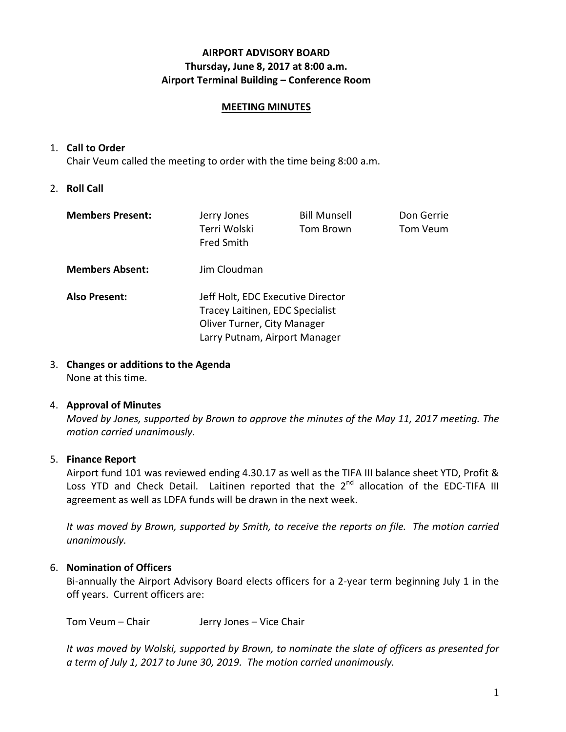# **AIRPORT ADVISORY BOARD Thursday, June 8, 2017 at 8:00 a.m. Airport Terminal Building – Conference Room**

### **MEETING MINUTES**

### 1. **Call to Order**

Chair Veum called the meeting to order with the time being 8:00 a.m.

## 2. **Roll Call**

| <b>Members Present:</b> | Jerry Jones<br>Terri Wolski<br><b>Fred Smith</b>                                                                                     | <b>Bill Munsell</b><br>Tom Brown | Don Gerrie<br>Tom Veum |
|-------------------------|--------------------------------------------------------------------------------------------------------------------------------------|----------------------------------|------------------------|
| <b>Members Absent:</b>  | Jim Cloudman                                                                                                                         |                                  |                        |
| <b>Also Present:</b>    | Jeff Holt, EDC Executive Director<br>Tracey Laitinen, EDC Specialist<br>Oliver Turner, City Manager<br>Larry Putnam, Airport Manager |                                  |                        |

# 3. **Changes or additions to the Agenda**

None at this time.

### 4. **Approval of Minutes**

*Moved by Jones, supported by Brown to approve the minutes of the May 11, 2017 meeting. The motion carried unanimously.*

## 5. **Finance Report**

Airport fund 101 was reviewed ending 4.30.17 as well as the TIFA III balance sheet YTD, Profit & Loss YTD and Check Detail. Laitinen reported that the 2<sup>nd</sup> allocation of the EDC-TIFA III agreement as well as LDFA funds will be drawn in the next week.

*It was moved by Brown, supported by Smith, to receive the reports on file. The motion carried unanimously.*

## 6. **Nomination of Officers**

Bi-annually the Airport Advisory Board elects officers for a 2-year term beginning July 1 in the off years. Current officers are:

Tom Veum – Chair Jerry Jones – Vice Chair

*It was moved by Wolski, supported by Brown, to nominate the slate of officers as presented for a term of July 1, 2017 to June 30, 2019. The motion carried unanimously.*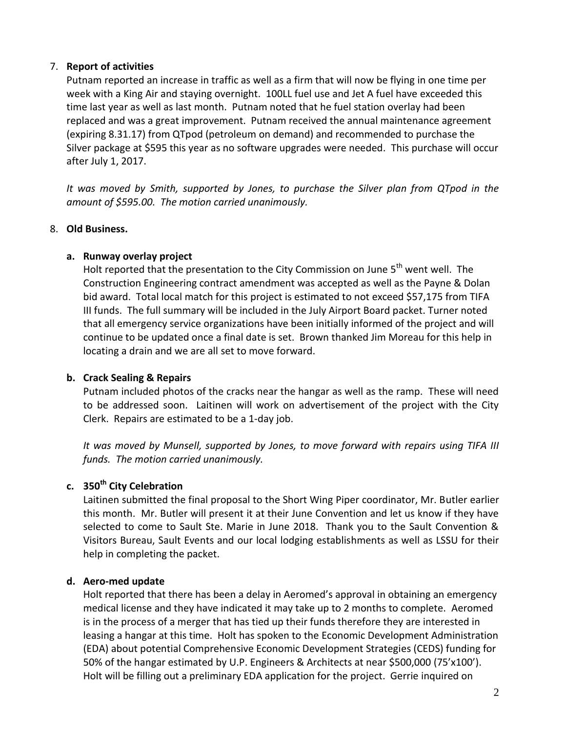## 7. **Report of activities**

Putnam reported an increase in traffic as well as a firm that will now be flying in one time per week with a King Air and staying overnight. 100LL fuel use and Jet A fuel have exceeded this time last year as well as last month. Putnam noted that he fuel station overlay had been replaced and was a great improvement. Putnam received the annual maintenance agreement (expiring 8.31.17) from QTpod (petroleum on demand) and recommended to purchase the Silver package at \$595 this year as no software upgrades were needed. This purchase will occur after July 1, 2017.

*It was moved by Smith, supported by Jones, to purchase the Silver plan from QTpod in the amount of \$595.00. The motion carried unanimously.*

## 8. **Old Business.**

## **a. Runway overlay project**

Holt reported that the presentation to the City Commission on June  $5<sup>th</sup>$  went well. The Construction Engineering contract amendment was accepted as well as the Payne & Dolan bid award. Total local match for this project is estimated to not exceed \$57,175 from TIFA III funds. The full summary will be included in the July Airport Board packet. Turner noted that all emergency service organizations have been initially informed of the project and will continue to be updated once a final date is set. Brown thanked Jim Moreau for this help in locating a drain and we are all set to move forward.

## **b. Crack Sealing & Repairs**

Putnam included photos of the cracks near the hangar as well as the ramp. These will need to be addressed soon. Laitinen will work on advertisement of the project with the City Clerk. Repairs are estimated to be a 1-day job.

*It was moved by Munsell, supported by Jones, to move forward with repairs using TIFA III funds. The motion carried unanimously.*

# **c. 350th City Celebration**

Laitinen submitted the final proposal to the Short Wing Piper coordinator, Mr. Butler earlier this month. Mr. Butler will present it at their June Convention and let us know if they have selected to come to Sault Ste. Marie in June 2018. Thank you to the Sault Convention & Visitors Bureau, Sault Events and our local lodging establishments as well as LSSU for their help in completing the packet.

## **d. Aero-med update**

Holt reported that there has been a delay in Aeromed's approval in obtaining an emergency medical license and they have indicated it may take up to 2 months to complete. Aeromed is in the process of a merger that has tied up their funds therefore they are interested in leasing a hangar at this time. Holt has spoken to the Economic Development Administration (EDA) about potential Comprehensive Economic Development Strategies (CEDS) funding for 50% of the hangar estimated by U.P. Engineers & Architects at near \$500,000 (75'x100'). Holt will be filling out a preliminary EDA application for the project. Gerrie inquired on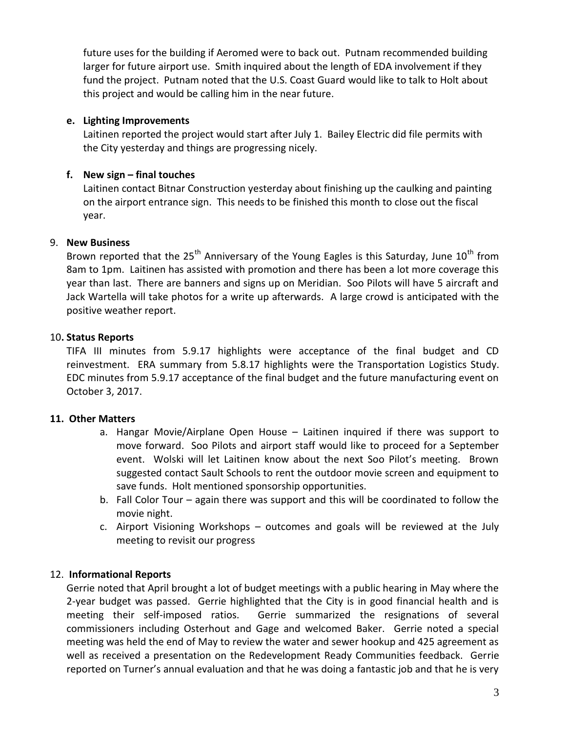future uses for the building if Aeromed were to back out. Putnam recommended building larger for future airport use. Smith inquired about the length of EDA involvement if they fund the project. Putnam noted that the U.S. Coast Guard would like to talk to Holt about this project and would be calling him in the near future.

## **e. Lighting Improvements**

Laitinen reported the project would start after July 1. Bailey Electric did file permits with the City yesterday and things are progressing nicely.

# **f. New sign – final touches**

Laitinen contact Bitnar Construction yesterday about finishing up the caulking and painting on the airport entrance sign. This needs to be finished this month to close out the fiscal year.

# 9. **New Business**

Brown reported that the  $25<sup>th</sup>$  Anniversary of the Young Eagles is this Saturday, June  $10<sup>th</sup>$  from 8am to 1pm. Laitinen has assisted with promotion and there has been a lot more coverage this year than last. There are banners and signs up on Meridian. Soo Pilots will have 5 aircraft and Jack Wartella will take photos for a write up afterwards. A large crowd is anticipated with the positive weather report.

# 10**. Status Reports**

TIFA III minutes from 5.9.17 highlights were acceptance of the final budget and CD reinvestment. ERA summary from 5.8.17 highlights were the Transportation Logistics Study. EDC minutes from 5.9.17 acceptance of the final budget and the future manufacturing event on October 3, 2017.

## **11. Other Matters**

- a. Hangar Movie/Airplane Open House Laitinen inquired if there was support to move forward. Soo Pilots and airport staff would like to proceed for a September event. Wolski will let Laitinen know about the next Soo Pilot's meeting. Brown suggested contact Sault Schools to rent the outdoor movie screen and equipment to save funds. Holt mentioned sponsorship opportunities.
- b. Fall Color Tour again there was support and this will be coordinated to follow the movie night.
- c. Airport Visioning Workshops outcomes and goals will be reviewed at the July meeting to revisit our progress

# 12. **Informational Reports**

Gerrie noted that April brought a lot of budget meetings with a public hearing in May where the 2-year budget was passed. Gerrie highlighted that the City is in good financial health and is meeting their self-imposed ratios. Gerrie summarized the resignations of several commissioners including Osterhout and Gage and welcomed Baker. Gerrie noted a special meeting was held the end of May to review the water and sewer hookup and 425 agreement as well as received a presentation on the Redevelopment Ready Communities feedback. Gerrie reported on Turner's annual evaluation and that he was doing a fantastic job and that he is very